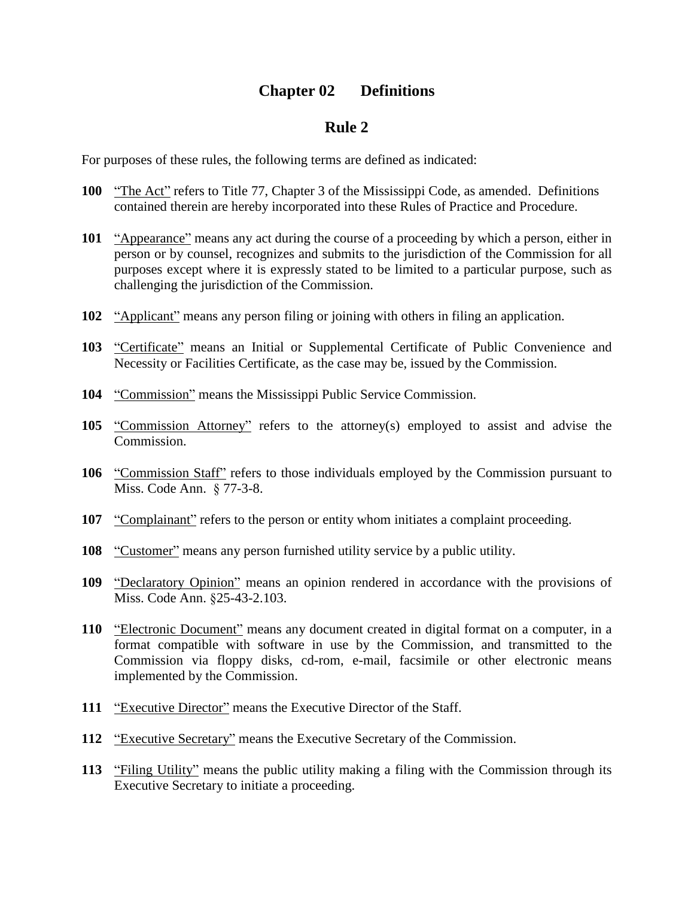## **Chapter 02 Definitions**

## **Rule 2**

For purposes of these rules, the following terms are defined as indicated:

- **100** *i*The Act" refers to Title 77, Chapter 3 of the Mississippi Code, as amended. Definitions contained therein are hereby incorporated into these Rules of Practice and Procedure.
- **101** "Appearance" means any act during the course of a proceeding by which a person, either in person or by counsel, recognizes and submits to the jurisdiction of the Commission for all purposes except where it is expressly stated to be limited to a particular purpose, such as challenging the jurisdiction of the Commission.
- **102** *"Applicant"* means any person filing or joining with others in filing an application.
- 103 *"Certificate"* means an Initial or Supplemental Certificate of Public Convenience and Necessity or Facilities Certificate, as the case may be, issued by the Commission.
- **104** "Commission" means the Mississippi Public Service Commission.
- **105** *i*Commission Attorney<sup>"</sup> refers to the attorney(s) employed to assist and advise the Commission.
- **106** *"Commission Staff"* refers to those individuals employed by the Commission pursuant to Miss. Code Ann. ß 77-3-8.
- **107** "Complainant" refers to the person or entity whom initiates a complaint proceeding.
- **108** *i*Customer<sup>n</sup> means any person furnished utility service by a public utility.
- **109** *<u>'Declaratory Opinion''</u>* means an opinion rendered in accordance with the provisions of Miss. Code Ann. ß25-43-2.103.
- **110** *i*Electronic Document<sup>"</sup> means any document created in digital format on a computer, in a format compatible with software in use by the Commission, and transmitted to the Commission via floppy disks, cd-rom, e-mail, facsimile or other electronic means implemented by the Commission.
- **111** "Executive Director" means the Executive Director of the Staff.
- **112** "Executive Secretary" means the Executive Secretary of the Commission.
- **113** "Filing Utility" means the public utility making a filing with the Commission through its Executive Secretary to initiate a proceeding.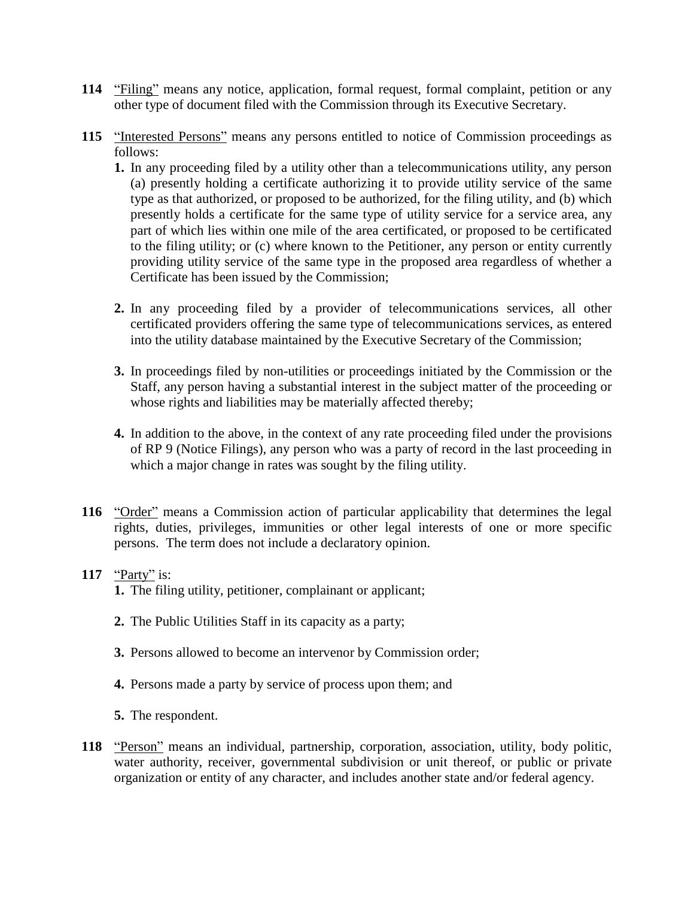- **114** "Filing" means any notice, application, formal request, formal complaint, petition or any other type of document filed with the Commission through its Executive Secretary.
- **115** *iInterested Persons*<sup>*n*</sup> means any persons entitled to notice of Commission proceedings as follows:
	- **1.** In any proceeding filed by a utility other than a telecommunications utility, any person (a) presently holding a certificate authorizing it to provide utility service of the same type as that authorized, or proposed to be authorized, for the filing utility, and (b) which presently holds a certificate for the same type of utility service for a service area, any part of which lies within one mile of the area certificated, or proposed to be certificated to the filing utility; or (c) where known to the Petitioner, any person or entity currently providing utility service of the same type in the proposed area regardless of whether a Certificate has been issued by the Commission;
	- **2.** In any proceeding filed by a provider of telecommunications services, all other certificated providers offering the same type of telecommunications services, as entered into the utility database maintained by the Executive Secretary of the Commission;
	- **3.** In proceedings filed by non-utilities or proceedings initiated by the Commission or the Staff, any person having a substantial interest in the subject matter of the proceeding or whose rights and liabilities may be materially affected thereby;
	- **4.** In addition to the above, in the context of any rate proceeding filed under the provisions of RP 9 (Notice Filings), any person who was a party of record in the last proceeding in which a major change in rates was sought by the filing utility.
- **116** "Order" means a Commission action of particular applicability that determines the legal rights, duties, privileges, immunities or other legal interests of one or more specific persons. The term does not include a declaratory opinion.
- 117  $\frac{\text{``Party''}}{\text{!}}$  is:
	- **1.** The filing utility, petitioner, complainant or applicant;
	- **2.** The Public Utilities Staff in its capacity as a party;
	- **3.** Persons allowed to become an intervenor by Commission order;
	- **4.** Persons made a party by service of process upon them; and
	- **5.** The respondent.
- 118 *'Person*" means an individual, partnership, corporation, association, utility, body politic, water authority, receiver, governmental subdivision or unit thereof, or public or private organization or entity of any character, and includes another state and/or federal agency.